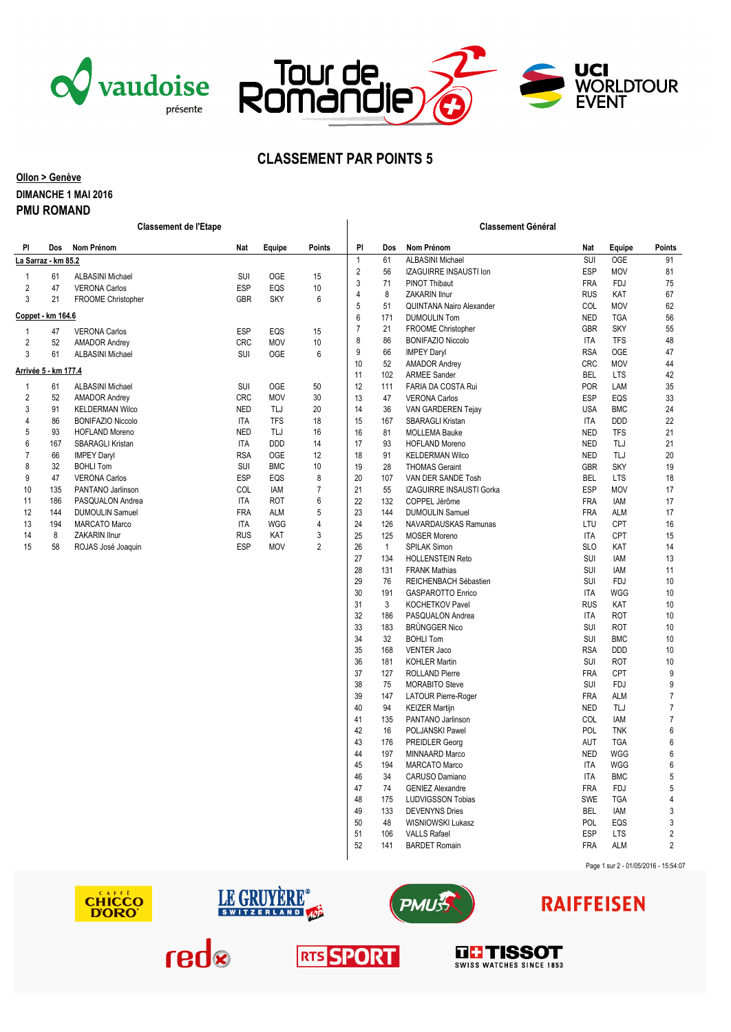





### **CLASSEMENT PAR POINTS 5**

#### **Ollon > Genève DIMANCHE 1 MAI 2016 PMU ROMAND**

|                      |                     | <b>Classement de l'Etape</b> |            |            |                      |                |              | <b>Classement Général</b>       |            |            |                |
|----------------------|---------------------|------------------------------|------------|------------|----------------------|----------------|--------------|---------------------------------|------------|------------|----------------|
| PI                   |                     | Dos Nom Prénom               | Nat        | Equipe     | <b>Points</b>        | PI             | Dos          | Nom Prénom                      | Nat        | Equipe     | <b>Points</b>  |
|                      | La Sarraz - km 85.2 |                              |            |            |                      | $\mathbf{1}$   | 61           | <b>ALBASINI Michael</b>         | SUI        | <b>OGE</b> | 91             |
| -1                   | 61                  | <b>ALBASINI Michael</b>      | SUI        | <b>OGE</b> | 15                   | $\mathbf{2}$   | 56           | IZAGUIRRE INSAUSTI Ion          | <b>ESP</b> | <b>MOV</b> | 81             |
| 2                    | 47                  | <b>VERONA Carlos</b>         | <b>ESP</b> | EQS        | 10                   | 3              | 71           | <b>PINOT Thibaut</b>            | <b>FRA</b> | <b>FDJ</b> | 75             |
| 3                    | 21                  | FROOME Christopher           | <b>GBR</b> | <b>SKY</b> | 6                    | $\overline{4}$ | 8            | ZAKARIN Ilnur                   | <b>RUS</b> | KAT        | 67             |
|                      |                     |                              |            |            |                      | 5              | 51           | <b>QUINTANA Nairo Alexander</b> | COL        | <b>MOV</b> | 62             |
|                      | Coppet - km 164.6   |                              |            |            |                      | 6              | 171          | <b>DUMOULIN Tom</b>             | <b>NED</b> | <b>TGA</b> | 56             |
| 1                    | 47                  | <b>VERONA Carlos</b>         | <b>ESP</b> | EQS        | 15                   | $\overline{7}$ | 21           | <b>FROOME Christopher</b>       | GBR        | <b>SKY</b> | 55             |
| $\overline{2}$       | 52                  | <b>AMADOR Andrey</b>         | <b>CRC</b> | <b>MOV</b> | 10                   | 8              | 86           | <b>BONIFAZIO Niccolo</b>        | <b>ITA</b> | <b>TFS</b> | 48             |
| 3                    | 61                  | <b>ALBASINI Michael</b>      | SUI        | <b>OGE</b> | 6                    | 9              | 66           | <b>IMPEY Daryl</b>              | <b>RSA</b> | <b>OGE</b> | 47             |
| Arrivée 5 - km 177.4 |                     |                              | 10         | 52         | <b>AMADOR Andrey</b> | <b>CRC</b>     | <b>MOV</b>   | 44                              |            |            |                |
|                      |                     |                              |            |            |                      | 11             | 102          | <b>ARMEE Sander</b>             | <b>BEL</b> | <b>LTS</b> | 42             |
| 1                    | 61                  | <b>ALBASINI Michael</b>      | SUI        | 0GE        | 50                   | 12             | 111          | FARIA DA COSTA Rui              | POR        | LAM        | 35             |
| 2                    | 52                  | <b>AMADOR Andrey</b>         | <b>CRC</b> | <b>MOV</b> | 30                   | 13             | 47           | <b>VERONA Carlos</b>            | <b>ESP</b> | EQS        | 33             |
| 3                    | 91                  | <b>KELDERMAN Wilco</b>       | <b>NED</b> | TLJ        | 20                   | 14             | 36           | VAN GARDEREN Tejay              | <b>USA</b> | <b>BMC</b> | 24             |
| 4                    | 86                  | <b>BONIFAZIO Niccolo</b>     | <b>ITA</b> | <b>TFS</b> | 18                   | 15             | 167          | SBARAGLI Kristan                | <b>ITA</b> | DDD        | 22             |
| 5                    | 93                  | <b>HOFLAND Moreno</b>        | <b>NED</b> | TLJ        | 16                   | 16             | 81           | <b>MOLLEMA Bauke</b>            | <b>NED</b> | <b>TFS</b> | 21             |
| 6                    | 167                 | <b>SBARAGLI Kristan</b>      | ITA        | DDD        | 14                   | 17             | 93           | <b>HOFLAND Moreno</b>           | <b>NED</b> | TLJ        | 21             |
| $\overline{7}$       | 66                  | <b>IMPEY Daryl</b>           | <b>RSA</b> | <b>OGE</b> | 12                   | 18             | 91           | <b>KELDERMAN Wilco</b>          | <b>NED</b> | TLJ        | 20             |
| 8                    | 32                  | <b>BOHLI Tom</b>             | SUI        | <b>BMC</b> | 10                   | 19             | 28           | <b>THOMAS Geraint</b>           | <b>GBR</b> | <b>SKY</b> | 19             |
| 9                    | 47                  | <b>VERONA Carlos</b>         | <b>ESP</b> | EQS        | 8                    | 20             | 107          | VAN DER SANDE Tosh              | <b>BEL</b> | <b>LTS</b> | 18             |
| 10                   | 135                 | PANTANO Jarlinson            | COL        | IAM        | $\boldsymbol{7}$     | 21             | 55           | <b>IZAGUIRRE INSAUSTI Gorka</b> | ESP        | <b>MOV</b> | 17             |
| 11                   | 186                 | PASQUALON Andrea             | <b>ITA</b> | ROT        | 6                    | 22             | 132          | COPPEL Jérôme                   | <b>FRA</b> | IAM        | 17             |
| 12                   | 144                 | <b>DUMOULIN Samuel</b>       | <b>FRA</b> | <b>ALM</b> | 5                    | 23             | 144          | <b>DUMOULIN Samuel</b>          | <b>FRA</b> | <b>ALM</b> | 17             |
| 13                   | 194                 | MARCATO Marco                | <b>ITA</b> | <b>WGG</b> | 4                    | 24             | 126          | NAVARDAUSKAS Ramunas            | LTU        | CPT        | 16             |
| 14                   | 8                   | ZAKARIN Ilnur                | <b>RUS</b> | KAT        | 3                    | 25             | 125          | <b>MOSER Moreno</b>             | <b>ITA</b> | CPT        | 15             |
| 15                   | 58                  | ROJAS José Joaquin           | <b>ESP</b> | <b>MOV</b> | $\overline{2}$       | 26             | $\mathbf{1}$ | SPILAK Simon                    | <b>SLO</b> | KAT        | 14             |
|                      |                     |                              |            |            |                      | 27             | 134          | <b>HOLLENSTEIN Reto</b>         | SUI        | <b>IAM</b> | 13             |
|                      |                     |                              |            |            |                      | 28             | 131          | <b>FRANK Mathias</b>            | SUI        | <b>IAM</b> | 11             |
|                      |                     |                              |            |            |                      | 29             | 76           | REICHENBACH Sébastien           | SUI        | <b>FDJ</b> | 10             |
|                      |                     |                              |            |            |                      | 30             | 191          | <b>GASPAROTTO Enrico</b>        | <b>ITA</b> | <b>WGG</b> | 10             |
|                      |                     |                              |            |            |                      | 31             | 3            | <b>KOCHETKOV Pavel</b>          | <b>RUS</b> | KAT        | 10             |
|                      |                     |                              |            |            |                      | 32             | 186          | PASQUALON Andrea                | <b>ITA</b> | <b>ROT</b> | 10             |
|                      |                     |                              |            |            |                      | 33             | 183          | <b>BRÜNGGER Nico</b>            | SUI        | <b>ROT</b> | 10             |
|                      |                     |                              |            |            |                      | 34             | 32           | <b>BOHLI Tom</b>                | SUI        | <b>BMC</b> | 10             |
|                      |                     |                              |            |            |                      | 35             | 168          | <b>VENTER Jaco</b>              | <b>RSA</b> | DDD        | 10             |
|                      |                     |                              |            |            |                      | 36             | 181          | <b>KOHLER Martin</b>            | SUI        | <b>ROT</b> | 10             |
|                      |                     |                              |            |            |                      | 37             | 127          | <b>ROLLAND Pierre</b>           | <b>FRA</b> | CPT        | 9              |
|                      |                     |                              |            |            |                      | 38             | 75           | <b>MORABITO Steve</b>           | SUI        | <b>FDJ</b> | 9              |
|                      |                     |                              |            |            |                      | 39             | 147          | LATOUR Pierre-Roger             | <b>FRA</b> | ALM        | $\overline{7}$ |
|                      |                     |                              |            |            |                      | 40             | 94           | <b>KEIZER Martijn</b>           | <b>NED</b> | TLJ        | $\overline{7}$ |
|                      |                     |                              |            |            |                      | 41             | 135          | PANTANO Jarlinson               | COL        | <b>IAM</b> | $\overline{7}$ |
|                      |                     |                              |            |            |                      | 42             | 16           | POLJANSKI Pawel                 | POL        | <b>TNK</b> | 6              |
|                      |                     |                              |            |            |                      | 43             | 176          | PREIDLER Georg                  | AUT        | <b>TGA</b> | 6              |
|                      |                     |                              |            |            |                      | 44             | 197          | MINNAARD Marco                  | <b>NED</b> | <b>WGG</b> | 6              |
|                      |                     |                              |            |            |                      | 45             | 194          | MARCATO Marco                   | <b>ITA</b> | WGG        | 6              |
|                      |                     |                              |            |            |                      | 46             | 34           | CARUSO Damiano                  | ITA        | <b>BMC</b> | 5              |
|                      |                     |                              |            |            |                      | 47             | 74           | <b>GENIEZ Alexandre</b>         | <b>FRA</b> | <b>FDJ</b> | 5              |
|                      |                     |                              |            |            |                      | 48             | 175          | <b>LUDVIGSSON Tobias</b>        | SWE        | <b>TGA</b> | 4              |
|                      |                     |                              |            |            |                      | 49             | 133          | <b>DEVENYNS Dries</b>           | <b>BEL</b> | <b>IAM</b> | 3              |
|                      |                     |                              |            |            |                      | 50             | 48           | WISNIOWSKI Lukasz               | <b>POL</b> | EQS        | 3              |
|                      |                     |                              |            |            |                      | 51             | 106          | <b>VALLS Rafael</b>             | <b>ESP</b> | <b>LTS</b> | $\mathfrak{p}$ |

Page 1 sur 2 - 01/05/2016 - 15:54:07







# **RAIFFEISEN**







52 141 BARDET Romain **FRA** ALM 2